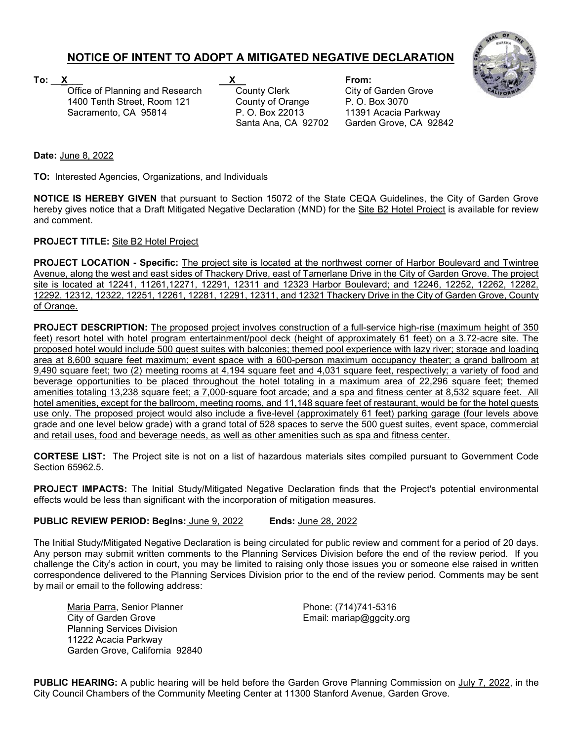## NOTICE OF INTENT TO ADOPT A MITIGATED NEGATIVE DECLARATION

Office of Planning and Research County Clerk City of Garden Grove 1400 Tenth Street, Room 121 County of Orange P. O. Box 3070

To: \_\_X\_\_\_ X From:

Sacramento, CA 95814 P. O. Box 22013 11391 Acacia Parkway<br>Santa Ana. CA 92702 Garden Grove. CA 928 Garden Grove, CA 92842



Date: June 8, 2022

TO: Interested Agencies, Organizations, and Individuals

NOTICE IS HEREBY GIVEN that pursuant to Section 15072 of the State CEQA Guidelines, the City of Garden Grove hereby gives notice that a Draft Mitigated Negative Declaration (MND) for the Site B2 Hotel Project is available for review and comment.

## PROJECT TITLE: Site B2 Hotel Project

PROJECT LOCATION - Specific: The project site is located at the northwest corner of Harbor Boulevard and Twintree Avenue, along the west and east sides of Thackery Drive, east of Tamerlane Drive in the City of Garden Grove. The project site is located at 12241, 11261,12271, 12291, 12311 and 12323 Harbor Boulevard; and 12246, 12252, 12262, 12282, 12292, 12312, 12322, 12251, 12261, 12281, 12291, 12311, and 12321 Thackery Drive in the City of Garden Grove, County of Orange.

PROJECT DESCRIPTION: The proposed project involves construction of a full-service high-rise (maximum height of 350 feet) resort hotel with hotel program entertainment/pool deck (height of approximately 61 feet) on a 3.72-acre site. The proposed hotel would include 500 guest suites with balconies; themed pool experience with lazy river; storage and loading area at 8,600 square feet maximum; event space with a 600-person maximum occupancy theater; a grand ballroom at 9,490 square feet; two (2) meeting rooms at 4,194 square feet and 4,031 square feet, respectively; a variety of food and beverage opportunities to be placed throughout the hotel totaling in a maximum area of 22,296 square feet; themed amenities totaling 13,238 square feet; a 7,000-square foot arcade; and a spa and fitness center at 8,532 square feet. All hotel amenities, except for the ballroom, meeting rooms, and 11,148 square feet of restaurant, would be for the hotel guests use only. The proposed project would also include a five-level (approximately 61 feet) parking garage (four levels above grade and one level below grade) with a grand total of 528 spaces to serve the 500 guest suites, event space, commercial and retail uses, food and beverage needs, as well as other amenities such as spa and fitness center.

CORTESE LIST: The Project site is not on a list of hazardous materials sites compiled pursuant to Government Code Section 65962.5.

PROJECT IMPACTS: The Initial Study/Mitigated Negative Declaration finds that the Project's potential environmental effects would be less than significant with the incorporation of mitigation measures.

PUBLIC REVIEW PERIOD: Begins: June 9, 2022 Ends: June 28, 2022

The Initial Study/Mitigated Negative Declaration is being circulated for public review and comment for a period of 20 days. Any person may submit written comments to the Planning Services Division before the end of the review period. If you challenge the City's action in court, you may be limited to raising only those issues you or someone else raised in written correspondence delivered to the Planning Services Division prior to the end of the review period. Comments may be sent by mail or email to the following address:

Maria Parra, Senior Planner **Phone: (714)741-5316** City of Garden Grove **Email:** mariap@ggcity.org Planning Services Division 11222 Acacia Parkway Garden Grove, California 92840

PUBLIC HEARING: A public hearing will be held before the Garden Grove Planning Commission on July 7, 2022, in the City Council Chambers of the Community Meeting Center at 11300 Stanford Avenue, Garden Grove.